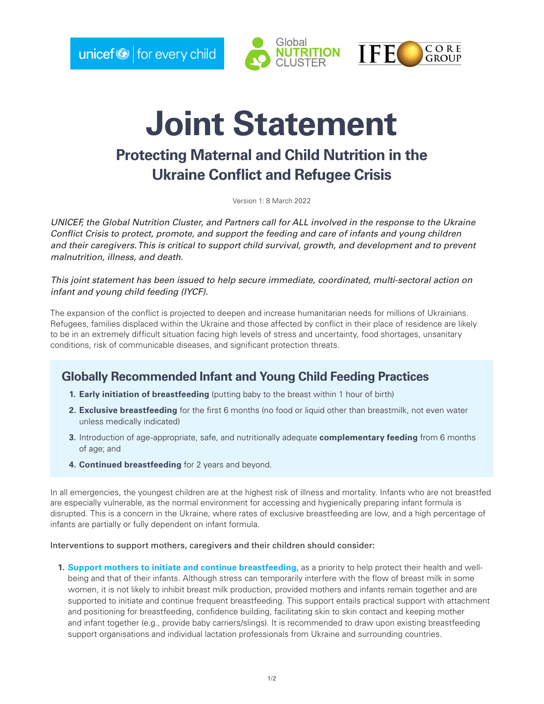$unicef  $\diamond$$  for every child





# **Joint Statement**

## **Protecting Maternal and Child Nutrition in the Ukraine Conflict and Refugee Crisis**

Version 1: 8 March 2022

*UNICEF, the Global Nutrition Cluster, and Partners call for ALL involved in the response to the Ukraine Conflict Crisis to protect, promote, and support the feeding and care of infants and young children and their caregivers. This is critical to support child survival, growth, and development and to prevent malnutrition, illness, and death.* 

*This joint statement has been issued to help secure immediate, coordinated, multi-sectoral action on infant and young child feeding (IYCF).* 

The expansion of the conflict is projected to deepen and increase humanitarian needs for millions of Ukrainians. Refugees, families displaced within the Ukraine and those affected by conflict in their place of residence are likely to be in an extremely difficult situation facing high levels of stress and uncertainty, food shortages, unsanitary conditions, risk of communicable diseases, and significant protection threats.

### **Globally Recommended Infant and Young Child Feeding Practices**

- **1. Early initiation of breastfeeding** (putting baby to the breast within 1 hour of birth)
- **2. Exclusive breastfeeding** for the first 6 months (no food or liquid other than breastmilk, not even water unless medically indicated)
- **3.** Introduction of age-appropriate, safe, and nutritionally adequate **complementary feeding** from 6 months of age; and
- **4. Continued breastfeeding** for 2 years and beyond.

In all emergencies, the youngest children are at the highest risk of illness and mortality. Infants who are not breastfed are especially vulnerable, as the normal environment for accessing and hygienically preparing infant formula is disrupted. This is a concern in the Ukraine, where rates of exclusive breastfeeding are low, and a high percentage of infants are partially or fully dependent on infant formula.

Interventions to support mothers, caregivers and their children should consider:

**1. Support mothers to initiate and continue breastfeeding,** as a priority to help protect their health and wellbeing and that of their infants. Although stress can temporarily interfere with the flow of breast milk in some women, it is not likely to inhibit breast milk production, provided mothers and infants remain together and are supported to initiate and continue frequent breastfeeding. This support entails practical support with attachment and positioning for breastfeeding, confidence building, facilitating skin to skin contact and keeping mother and infant together (e.g., provide baby carriers/slings). It is recommended to draw upon existing breastfeeding support organisations and individual lactation professionals from Ukraine and surrounding countries.